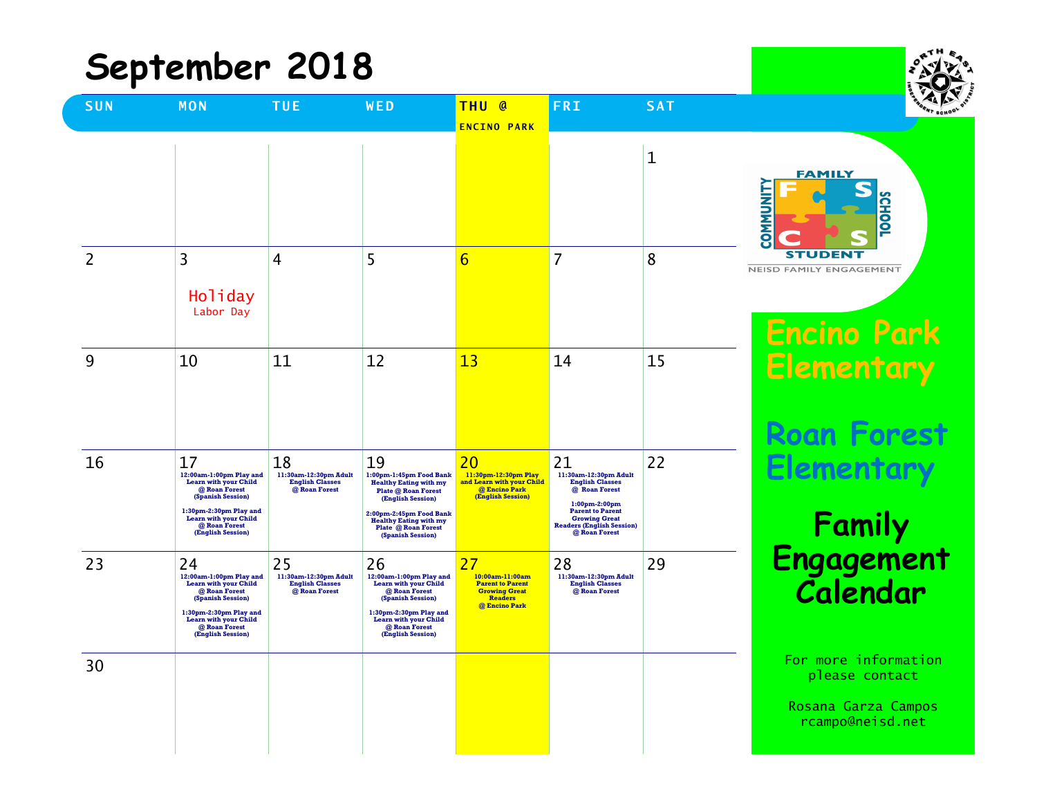| September 2018 |                                                                                                                                                                                              |                                                                        |                                                                                                                                                                                                                    |                                                                                                             |                                                                                                                                                                                                    |            |                                                                                   |
|----------------|----------------------------------------------------------------------------------------------------------------------------------------------------------------------------------------------|------------------------------------------------------------------------|--------------------------------------------------------------------------------------------------------------------------------------------------------------------------------------------------------------------|-------------------------------------------------------------------------------------------------------------|----------------------------------------------------------------------------------------------------------------------------------------------------------------------------------------------------|------------|-----------------------------------------------------------------------------------|
| <b>SUN</b>     | <b>MON</b>                                                                                                                                                                                   | <b>TUE</b>                                                             | WED                                                                                                                                                                                                                | THU @<br><b>ENCINO PARK</b>                                                                                 | <b>FRI</b>                                                                                                                                                                                         | <b>SAT</b> |                                                                                   |
|                |                                                                                                                                                                                              |                                                                        |                                                                                                                                                                                                                    |                                                                                                             |                                                                                                                                                                                                    | 1          | <b>FAMILY</b><br><b>TINUMMOS</b><br><b>CHOOL</b>                                  |
| 2              | 3<br>Holiday<br>Labor Day                                                                                                                                                                    | 4                                                                      | 5                                                                                                                                                                                                                  | $\overline{6}$                                                                                              | 7                                                                                                                                                                                                  | 8          | SТ<br>Ð<br>NEISD FAMILY ENGAGEMENT<br><b>Encino Park</b>                          |
| 9              | 10                                                                                                                                                                                           | 11                                                                     | 12                                                                                                                                                                                                                 | 13                                                                                                          | 14                                                                                                                                                                                                 | 15         | <b>Elementary</b><br><b>Roan Forest</b>                                           |
| 16             | 17<br>12:00am-1:00pm Play and<br><b>Learn with your Child</b><br>@ Roan Forest<br>(Spanish Session)<br>1:30pm-2:30pm Play and<br>Learn with your Child<br>@ Roan Forest<br>(English Session) | 18<br>11:30am-12:30pm Adult<br><b>English Classes</b><br>@ Roan Forest | 19<br>1:00pm-1:45pm Food Bank<br><b>Healthy Eating with my</b><br>Plate @ Roan Forest<br>(English Session)<br>2:00pm-2:45pm Food Bank<br><b>Healthy Eating with my</b><br>Plate @ Roan Forest<br>(Spanish Session) | 20<br>11:30pm-12:30pm Play<br>and Learn with your Child<br>@ Encino Park<br>(English Session)               | 21<br>11:30am-12:30pm Adult<br><b>English Classes</b><br>@ Roan Forest<br>$1:00$ pm-2:00pm<br><b>Parent to Parent</b><br><b>Growing Great</b><br><b>Readers (English Session)</b><br>@ Roan Forest | 22         | Elemento<br>Family<br>Engagement                                                  |
| 23             | 24<br>12:00am-1:00pm Play and<br>Learn with your Child<br>@ Roan Forest<br>(Spanish Session)<br>1:30pm-2:30pm Play and<br>Learn with your Child<br>@ Roan Forest<br>(English Session)        | 25<br>11:30am-12:30pm Adult<br><b>English Classes</b><br>@ Roan Forest | 26<br>12:00am-1:00pm Play and<br>Learn with your Child<br>@ Roan Forest<br>(Spanish Session)<br>1:30pm-2:30pm Play and<br>Learn with your Child<br>@ Roan Forest<br>(English Session)                              | 27<br>10:00am-11:00am<br><b>Parent to Parent</b><br><b>Growing Great</b><br><b>Readers</b><br>@ Encino Park | 28<br>11:30am-12:30pm Adult<br><b>English Classes</b><br>@ Roan Forest                                                                                                                             | 29         | Calendar                                                                          |
| 30             |                                                                                                                                                                                              |                                                                        |                                                                                                                                                                                                                    |                                                                                                             |                                                                                                                                                                                                    |            | For more information<br>please contact<br>Rosana Garza Campos<br>rcampo@neisd.net |

 $+H$ .